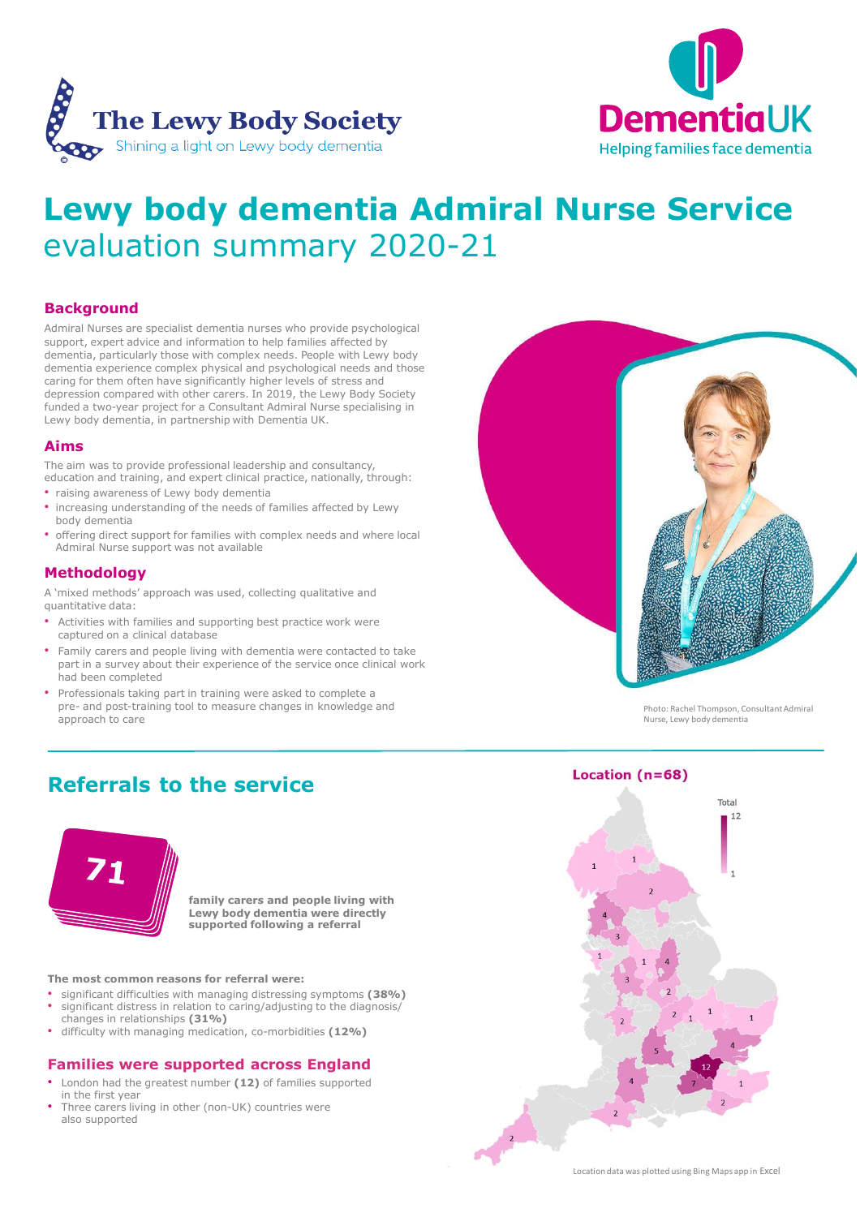



**Helping families face dementia** 

# **Lewy body dementia Admiral Nurse Service**  evaluation summary 2020-21

#### **Background**

Admiral Nurses are specialist dementia nurses who provide psychological support, expert advice and information to help families affected by dementia, particularly those with complex needs. People with Lewy body dementia experience complex physical and psychological needs and those caring for them often have significantly higher levels of stress and depression compared with other carers. In 2019, the Lewy Body Society funded a two-year project for a Consultant Admiral Nurse specialising in Lewy body dementia, in partnership with Dementia UK.

#### **Aims**

The aim was to provide professional leadership and consultancy, education and training, and expert clinical practice, nationally, through:

- raising awareness of Lewy body dementia
- increasing understanding of the needs of families affected by Lewy body dementia
- offering direct support for families with complex needs and where local Admiral Nurse support was not available

#### **Methodology**

A 'mixed methods' approach was used, collecting qualitative and quantitative data:

- Activities with families and supporting best practice work were captured on a clinical database
- Family carers and people living with dementia were contacted to take part in a survey about their experience of the service once clinical work had been completed
- Professionals taking part in training were asked to complete a pre- and post-training tool to measure changes in knowledge and approach to care

## **Referrals to the service**







Photo: Rachel Thompson, Consultant Admiral Nurse, Lewy body dementia

#### **The most common reasons for referral were:**

- significant difficulties with managing distressing symptoms **(38%)**
- significant distress in relation to caring/adjusting to the diagnosis/ changes in relationships **(31%)**
- difficulty with managing medication, co-morbidities **(12%)**

### **Families were supported across England**

- London had the greatest number **(12)** of families supported in the first year
- Three carers living in other (non-UK) countries were also supported

**family carers and people living with Lewy body dementia were directly** 

#### Location  $(n=68)$

#### **supported following a referral**